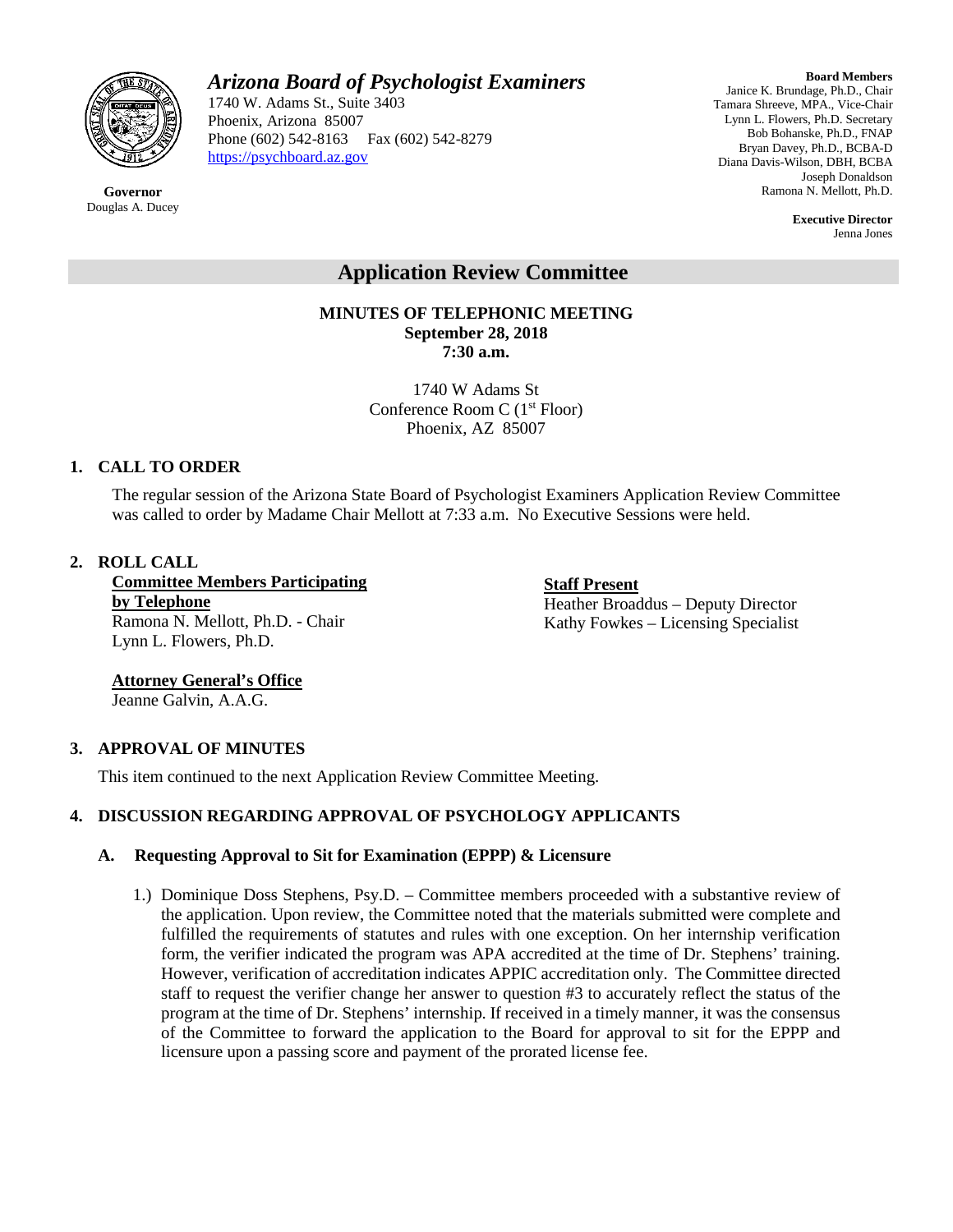

# *Arizona Board of Psychologist Examiners*

1740 W. Adams St., Suite 3403 Phoenix, Arizona 85007 Phone (602) 542-8163 Fax (602) 542-8279 [https://psychboard.az.gov](https://psychboard.az.gov/) 

**Board Members** Janice K. Brundage, Ph.D., Chair Tamara Shreeve, MPA., Vice-Chair Lynn L. Flowers, Ph.D. Secretary Bob Bohanske, Ph.D., FNAP Bryan Davey, Ph.D., BCBA-D Diana Davis-Wilson, DBH, BCBA Joseph Donaldson Ramona N. Mellott, Ph.D.

> **Executive Director** Jenna Jones

# **Application Review Committee**

**MINUTES OF TELEPHONIC MEETING September 28, 2018 7:30 a.m.**

> 1740 W Adams St Conference Room C (1st Floor) Phoenix, AZ 85007

## **1. CALL TO ORDER**

The regular session of the Arizona State Board of Psychologist Examiners Application Review Committee was called to order by Madame Chair Mellott at 7:33 a.m. No Executive Sessions were held.

#### **2. ROLL CALL**

**Committee Members Participating by Telephone** Ramona N. Mellott, Ph.D. - Chair Lynn L. Flowers, Ph.D.

**Staff Present** Heather Broaddus – Deputy Director Kathy Fowkes – Licensing Specialist

**Attorney General's Office**  Jeanne Galvin, A.A.G.

#### **3. APPROVAL OF MINUTES**

This item continued to the next Application Review Committee Meeting.

# **4. DISCUSSION REGARDING APPROVAL OF PSYCHOLOGY APPLICANTS**

#### **A. Requesting Approval to Sit for Examination (EPPP) & Licensure**

1.) Dominique Doss Stephens, Psy.D. – Committee members proceeded with a substantive review of the application. Upon review, the Committee noted that the materials submitted were complete and fulfilled the requirements of statutes and rules with one exception. On her internship verification form, the verifier indicated the program was APA accredited at the time of Dr. Stephens' training. However, verification of accreditation indicates APPIC accreditation only. The Committee directed staff to request the verifier change her answer to question #3 to accurately reflect the status of the program at the time of Dr. Stephens' internship. If received in a timely manner, it was the consensus of the Committee to forward the application to the Board for approval to sit for the EPPP and licensure upon a passing score and payment of the prorated license fee.

**Governor** Douglas A. Ducey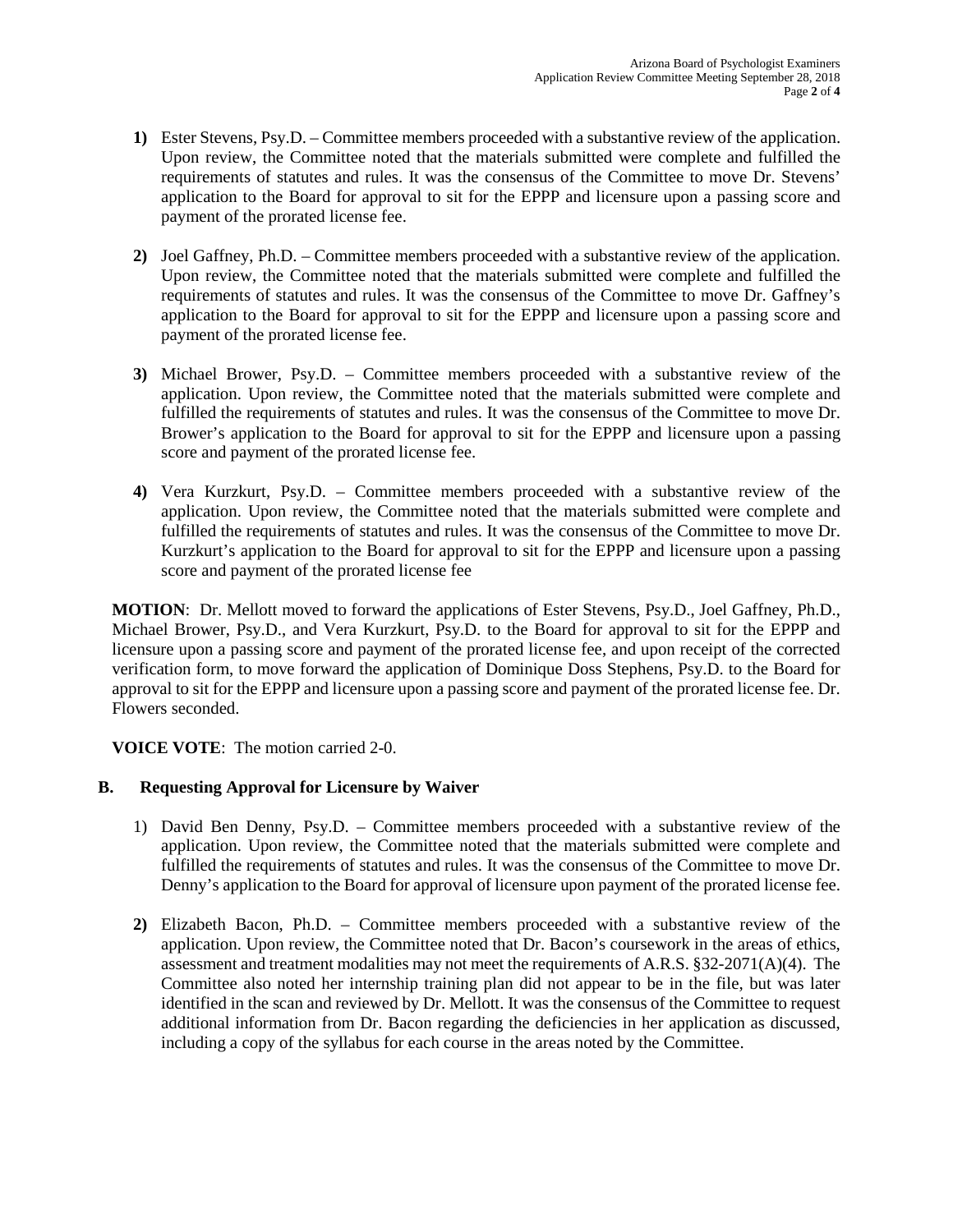- **1)** Ester Stevens, Psy.D. Committee members proceeded with a substantive review of the application. Upon review, the Committee noted that the materials submitted were complete and fulfilled the requirements of statutes and rules. It was the consensus of the Committee to move Dr. Stevens' application to the Board for approval to sit for the EPPP and licensure upon a passing score and payment of the prorated license fee.
- **2)** Joel Gaffney, Ph.D. Committee members proceeded with a substantive review of the application. Upon review, the Committee noted that the materials submitted were complete and fulfilled the requirements of statutes and rules. It was the consensus of the Committee to move Dr. Gaffney's application to the Board for approval to sit for the EPPP and licensure upon a passing score and payment of the prorated license fee.
- **3)** Michael Brower, Psy.D. Committee members proceeded with a substantive review of the application. Upon review, the Committee noted that the materials submitted were complete and fulfilled the requirements of statutes and rules. It was the consensus of the Committee to move Dr. Brower's application to the Board for approval to sit for the EPPP and licensure upon a passing score and payment of the prorated license fee.
- **4)** Vera Kurzkurt, Psy.D. Committee members proceeded with a substantive review of the application. Upon review, the Committee noted that the materials submitted were complete and fulfilled the requirements of statutes and rules. It was the consensus of the Committee to move Dr. Kurzkurt's application to the Board for approval to sit for the EPPP and licensure upon a passing score and payment of the prorated license fee

**MOTION**: Dr. Mellott moved to forward the applications of Ester Stevens, Psy.D., Joel Gaffney, Ph.D., Michael Brower, Psy.D., and Vera Kurzkurt, Psy.D. to the Board for approval to sit for the EPPP and licensure upon a passing score and payment of the prorated license fee, and upon receipt of the corrected verification form, to move forward the application of Dominique Doss Stephens, Psy.D. to the Board for approval to sit for the EPPP and licensure upon a passing score and payment of the prorated license fee. Dr. Flowers seconded.

**VOICE VOTE**: The motion carried 2-0.

# **B. Requesting Approval for Licensure by Waiver**

- 1) David Ben Denny, Psy.D. Committee members proceeded with a substantive review of the application. Upon review, the Committee noted that the materials submitted were complete and fulfilled the requirements of statutes and rules. It was the consensus of the Committee to move Dr. Denny's application to the Board for approval of licensure upon payment of the prorated license fee.
- **2)** Elizabeth Bacon, Ph.D. Committee members proceeded with a substantive review of the application. Upon review, the Committee noted that Dr. Bacon's coursework in the areas of ethics, assessment and treatment modalities may not meet the requirements of A.R.S. §32-2071(A)(4). The Committee also noted her internship training plan did not appear to be in the file, but was later identified in the scan and reviewed by Dr. Mellott. It was the consensus of the Committee to request additional information from Dr. Bacon regarding the deficiencies in her application as discussed, including a copy of the syllabus for each course in the areas noted by the Committee.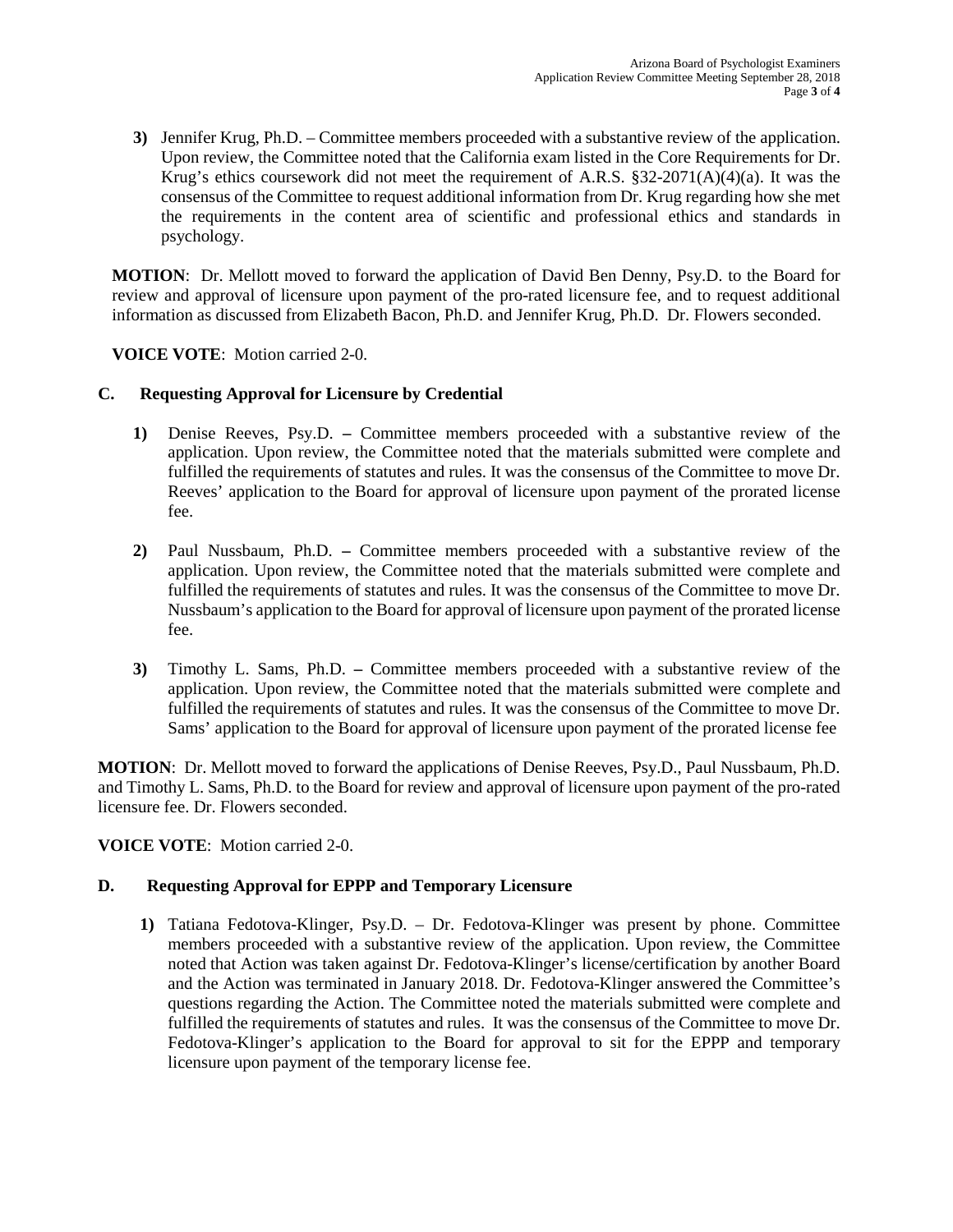**3)** Jennifer Krug, Ph.D. – Committee members proceeded with a substantive review of the application. Upon review, the Committee noted that the California exam listed in the Core Requirements for Dr. Krug's ethics coursework did not meet the requirement of A.R.S.  $\S$ 32-2071(A)(4)(a). It was the consensus of the Committee to request additional information from Dr. Krug regarding how she met the requirements in the content area of scientific and professional ethics and standards in psychology.

**MOTION**: Dr. Mellott moved to forward the application of David Ben Denny, Psy.D. to the Board for review and approval of licensure upon payment of the pro-rated licensure fee, and to request additional information as discussed from Elizabeth Bacon, Ph.D. and Jennifer Krug, Ph.D. Dr. Flowers seconded.

**VOICE VOTE**: Motion carried 2-0.

## **C. Requesting Approval for Licensure by Credential**

- **1)** Denise Reeves, Psy.D. **–** Committee members proceeded with a substantive review of the application. Upon review, the Committee noted that the materials submitted were complete and fulfilled the requirements of statutes and rules. It was the consensus of the Committee to move Dr. Reeves' application to the Board for approval of licensure upon payment of the prorated license fee.
- **2)** Paul Nussbaum, Ph.D. **–** Committee members proceeded with a substantive review of the application. Upon review, the Committee noted that the materials submitted were complete and fulfilled the requirements of statutes and rules. It was the consensus of the Committee to move Dr. Nussbaum's application to the Board for approval of licensure upon payment of the prorated license fee.
- **3)** Timothy L. Sams, Ph.D. **–** Committee members proceeded with a substantive review of the application. Upon review, the Committee noted that the materials submitted were complete and fulfilled the requirements of statutes and rules. It was the consensus of the Committee to move Dr. Sams' application to the Board for approval of licensure upon payment of the prorated license fee

**MOTION**: Dr. Mellott moved to forward the applications of Denise Reeves, Psy.D., Paul Nussbaum, Ph.D. and Timothy L. Sams, Ph.D. to the Board for review and approval of licensure upon payment of the pro-rated licensure fee. Dr. Flowers seconded.

**VOICE VOTE**: Motion carried 2-0.

# **D. Requesting Approval for EPPP and Temporary Licensure**

**1)** Tatiana Fedotova-Klinger, Psy.D. – Dr. Fedotova-Klinger was present by phone. Committee members proceeded with a substantive review of the application. Upon review, the Committee noted that Action was taken against Dr. Fedotova-Klinger's license/certification by another Board and the Action was terminated in January 2018. Dr. Fedotova-Klinger answered the Committee's questions regarding the Action. The Committee noted the materials submitted were complete and fulfilled the requirements of statutes and rules. It was the consensus of the Committee to move Dr. Fedotova-Klinger's application to the Board for approval to sit for the EPPP and temporary licensure upon payment of the temporary license fee.